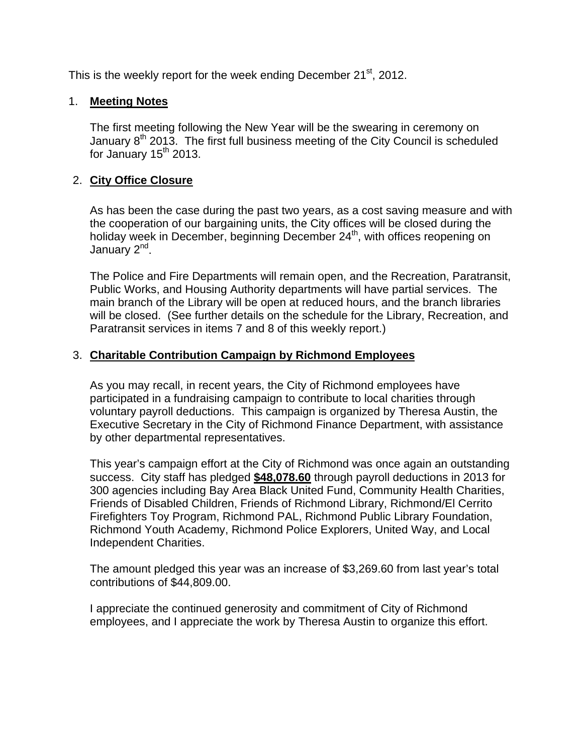This is the weekly report for the week ending December 21<sup>st</sup>, 2012.

## 1. **Meeting Notes**

The first meeting following the New Year will be the swearing in ceremony on January  $8<sup>th</sup>$  2013. The first full business meeting of the City Council is scheduled for January  $15<sup>th</sup>$  2013.

# 2. **City Office Closure**

As has been the case during the past two years, as a cost saving measure and with the cooperation of our bargaining units, the City offices will be closed during the holiday week in December, beginning December 24<sup>th</sup>, with offices reopening on January 2<sup>nd</sup>.

The Police and Fire Departments will remain open, and the Recreation, Paratransit, Public Works, and Housing Authority departments will have partial services. The main branch of the Library will be open at reduced hours, and the branch libraries will be closed. (See further details on the schedule for the Library, Recreation, and Paratransit services in items 7 and 8 of this weekly report.)

## 3. **Charitable Contribution Campaign by Richmond Employees**

As you may recall, in recent years, the City of Richmond employees have participated in a fundraising campaign to contribute to local charities through voluntary payroll deductions. This campaign is organized by Theresa Austin, the Executive Secretary in the City of Richmond Finance Department, with assistance by other departmental representatives.

This year's campaign effort at the City of Richmond was once again an outstanding success. City staff has pledged **\$48,078.60** through payroll deductions in 2013 for 300 agencies including Bay Area Black United Fund, Community Health Charities, Friends of Disabled Children, Friends of Richmond Library, Richmond/El Cerrito Firefighters Toy Program, Richmond PAL, Richmond Public Library Foundation, Richmond Youth Academy, Richmond Police Explorers, United Way, and Local Independent Charities.

The amount pledged this year was an increase of \$3,269.60 from last year's total contributions of \$44,809.00.

I appreciate the continued generosity and commitment of City of Richmond employees, and I appreciate the work by Theresa Austin to organize this effort.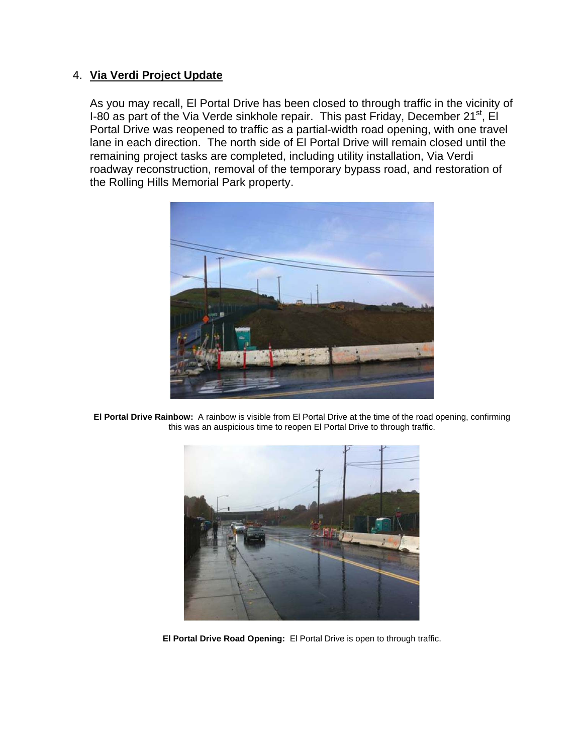#### 4. **Via Verdi Project Update**

As you may recall, El Portal Drive has been closed to through traffic in the vicinity of I-80 as part of the Via Verde sinkhole repair. This past Friday, December 21<sup>st</sup>, El Portal Drive was reopened to traffic as a partial-width road opening, with one travel lane in each direction. The north side of El Portal Drive will remain closed until the remaining project tasks are completed, including utility installation, Via Verdi roadway reconstruction, removal of the temporary bypass road, and restoration of the Rolling Hills Memorial Park property.



**El Portal Drive Rainbow:** A rainbow is visible from El Portal Drive at the time of the road opening, confirming this was an auspicious time to reopen El Portal Drive to through traffic.



**El Portal Drive Road Opening:** El Portal Drive is open to through traffic.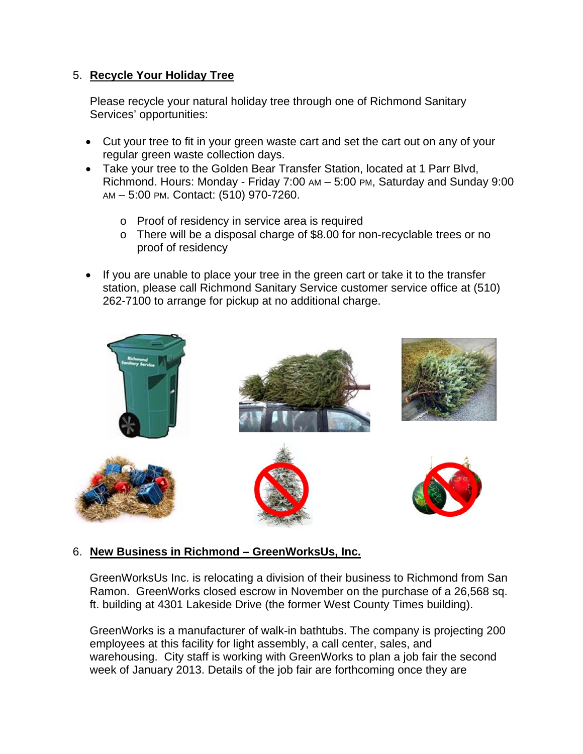#### 5. **Recycle Your Holiday Tree**

Please recycle your natural holiday tree through one of Richmond Sanitary Services' opportunities:

- Cut your tree to fit in your green waste cart and set the cart out on any of your regular green waste collection days.
- Take your tree to the Golden Bear Transfer Station, located at 1 Parr Blvd, Richmond. Hours: Monday - Friday 7:00 AM – 5:00 PM, Saturday and Sunday 9:00 AM – 5:00 PM. Contact: (510) 970-7260.
	- o Proof of residency in service area is required
	- o There will be a disposal charge of \$8.00 for non-recyclable trees or no proof of residency
- If you are unable to place your tree in the green cart or take it to the transfer station, please call Richmond Sanitary Service customer service office at (510) 262-7100 to arrange for pickup at no additional charge.



## 6. **New Business in Richmond – GreenWorksUs, Inc.**

GreenWorksUs Inc. is relocating a division of their business to Richmond from San Ramon. GreenWorks closed escrow in November on the purchase of a 26,568 sq. ft. building at 4301 Lakeside Drive (the former West County Times building).

GreenWorks is a manufacturer of walk-in bathtubs. The company is projecting 200 employees at this facility for light assembly, a call center, sales, and warehousing. City staff is working with GreenWorks to plan a job fair the second week of January 2013. Details of the job fair are forthcoming once they are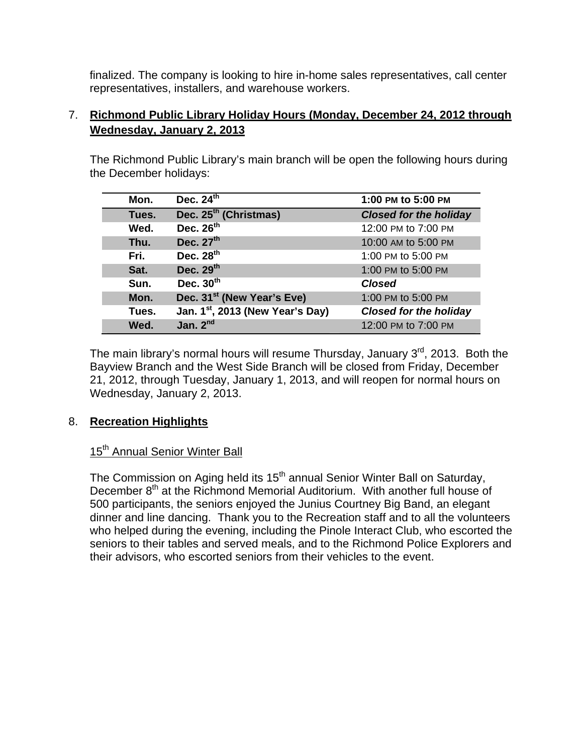finalized. The company is looking to hire in-home sales representatives, call center representatives, installers, and warehouse workers.

## 7. **Richmond Public Library Holiday Hours (Monday, December 24, 2012 through Wednesday, January 2, 2013**

The Richmond Public Library's main branch will be open the following hours during the December holidays:

| Mon.  | Dec. $24^{th}$                               | 1:00 PM to 5:00 PM            |
|-------|----------------------------------------------|-------------------------------|
| Tues. | Dec. 25 <sup>th</sup> (Christmas)            | <b>Closed for the holiday</b> |
| Wed.  | Dec. $26th$                                  | 12:00 PM to 7:00 PM           |
| Thu.  | Dec. 27th                                    | 10:00 AM to 5:00 PM           |
| Fri.  | Dec. $28th$                                  | 1:00 PM to 5:00 PM            |
| Sat.  | Dec. 29 <sup>th</sup>                        | 1:00 PM to 5:00 PM            |
| Sun.  | Dec. $30th$                                  | <b>Closed</b>                 |
| Mon.  | Dec. 31 <sup>st</sup> (New Year's Eve)       | 1:00 PM to 5:00 PM            |
| Tues. | Jan. 1 <sup>st</sup> , 2013 (New Year's Day) | <b>Closed for the holiday</b> |
| Wed.  | Jan. $2nd$                                   | 12:00 PM to 7:00 PM           |

The main library's normal hours will resume Thursday, January  $3<sup>rd</sup>$ , 2013. Both the Bayview Branch and the West Side Branch will be closed from Friday, December 21, 2012, through Tuesday, January 1, 2013, and will reopen for normal hours on Wednesday, January 2, 2013.

## 8. **Recreation Highlights**

### 15<sup>th</sup> Annual Senior Winter Ball

The Commission on Aging held its 15<sup>th</sup> annual Senior Winter Ball on Saturday, December  $8<sup>th</sup>$  at the Richmond Memorial Auditorium. With another full house of 500 participants, the seniors enjoyed the Junius Courtney Big Band, an elegant dinner and line dancing. Thank you to the Recreation staff and to all the volunteers who helped during the evening, including the Pinole Interact Club, who escorted the seniors to their tables and served meals, and to the Richmond Police Explorers and their advisors, who escorted seniors from their vehicles to the event.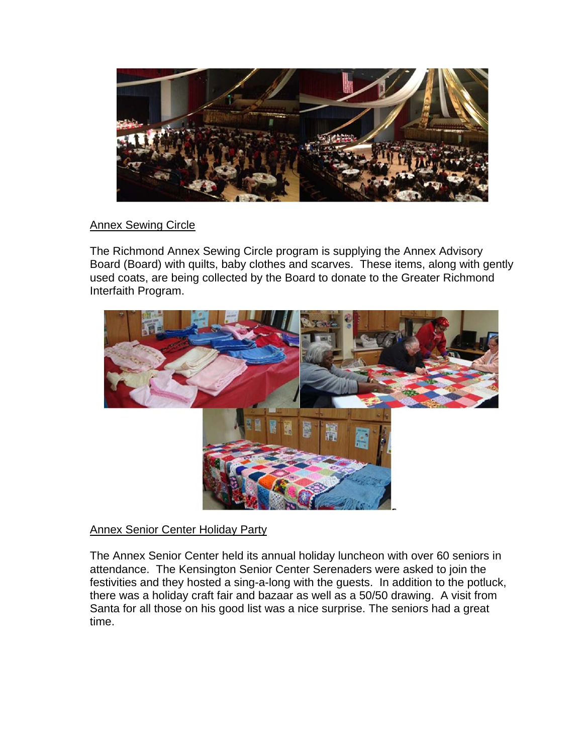

### Annex Sewing Circle

The Richmond Annex Sewing Circle program is supplying the Annex Advisory Board (Board) with quilts, baby clothes and scarves. These items, along with gently used coats, are being collected by the Board to donate to the Greater Richmond Interfaith Program.



## Annex Senior Center Holiday Party

The Annex Senior Center held its annual holiday luncheon with over 60 seniors in attendance. The Kensington Senior Center Serenaders were asked to join the festivities and they hosted a sing-a-long with the guests. In addition to the potluck, there was a holiday craft fair and bazaar as well as a 50/50 drawing. A visit from Santa for all those on his good list was a nice surprise. The seniors had a great time.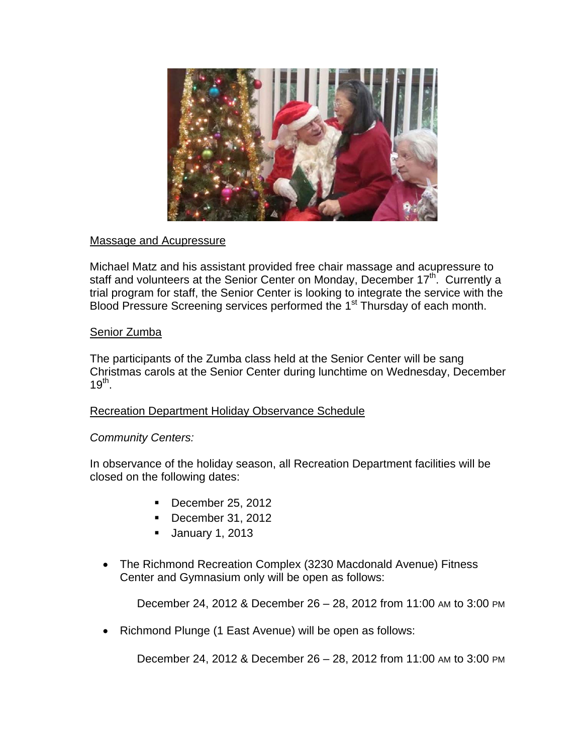

#### Massage and Acupressure

Michael Matz and his assistant provided free chair massage and acupressure to staff and volunteers at the Senior Center on Monday, December 17<sup>th</sup>. Currently a trial program for staff, the Senior Center is looking to integrate the service with the Blood Pressure Screening services performed the 1<sup>st</sup> Thursday of each month.

### Senior Zumba

The participants of the Zumba class held at the Senior Center will be sang Christmas carols at the Senior Center during lunchtime on Wednesday, December  $19^{th}$ .

## Recreation Department Holiday Observance Schedule

#### *Community Centers:*

In observance of the holiday season, all Recreation Department facilities will be closed on the following dates:

- December 25, 2012
- December 31, 2012
- $\blacksquare$  January 1, 2013
- The Richmond Recreation Complex (3230 Macdonald Avenue) Fitness Center and Gymnasium only will be open as follows:

December 24, 2012 & December 26 – 28, 2012 from 11:00 AM to 3:00 PM

• Richmond Plunge (1 East Avenue) will be open as follows:

December 24, 2012 & December 26 – 28, 2012 from 11:00 AM to 3:00 PM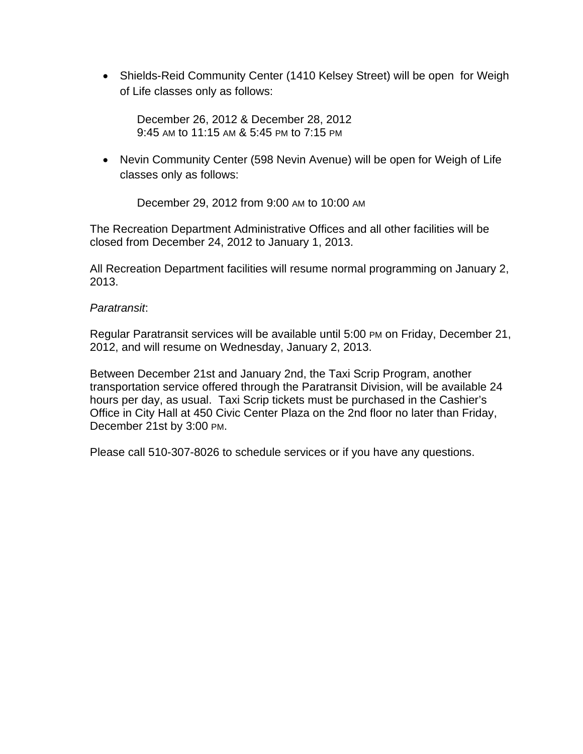• Shields-Reid Community Center (1410 Kelsey Street) will be open for Weigh of Life classes only as follows:

December 26, 2012 & December 28, 2012 9:45 AM to 11:15 AM & 5:45 PM to 7:15 PM

 Nevin Community Center (598 Nevin Avenue) will be open for Weigh of Life classes only as follows:

December 29, 2012 from 9:00 AM to 10:00 AM

The Recreation Department Administrative Offices and all other facilities will be closed from December 24, 2012 to January 1, 2013.

All Recreation Department facilities will resume normal programming on January 2, 2013.

#### *Paratransit*:

Regular Paratransit services will be available until 5:00 PM on Friday, December 21, 2012, and will resume on Wednesday, January 2, 2013.

Between December 21st and January 2nd, the Taxi Scrip Program, another transportation service offered through the Paratransit Division, will be available 24 hours per day, as usual. Taxi Scrip tickets must be purchased in the Cashier's Office in City Hall at 450 Civic Center Plaza on the 2nd floor no later than Friday, December 21st by 3:00 PM.

Please call 510-307-8026 to schedule services or if you have any questions.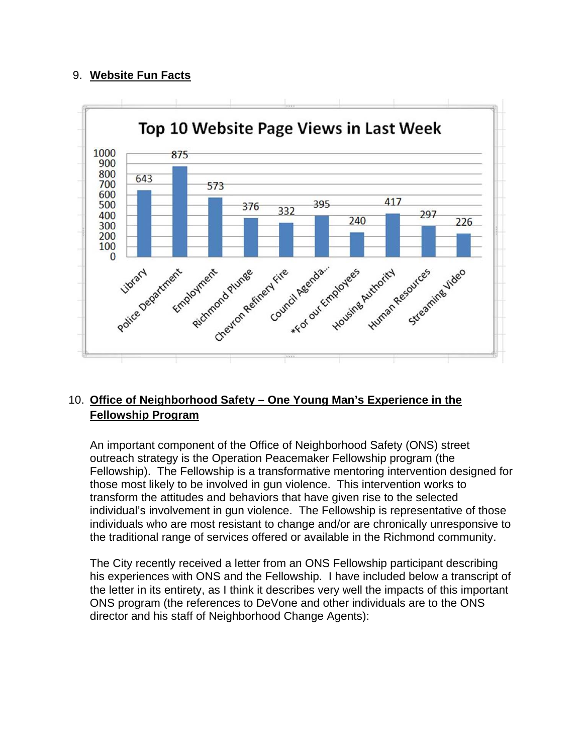## 9. **Website Fun Facts**



## 10. **Office of Neighborhood Safety – One Young Man's Experience in the Fellowship Program**

An important component of the Office of Neighborhood Safety (ONS) street outreach strategy is the Operation Peacemaker Fellowship program (the Fellowship). The Fellowship is a transformative mentoring intervention designed for those most likely to be involved in gun violence. This intervention works to transform the attitudes and behaviors that have given rise to the selected individual's involvement in gun violence. The Fellowship is representative of those individuals who are most resistant to change and/or are chronically unresponsive to the traditional range of services offered or available in the Richmond community.

The City recently received a letter from an ONS Fellowship participant describing his experiences with ONS and the Fellowship. I have included below a transcript of the letter in its entirety, as I think it describes very well the impacts of this important ONS program (the references to DeVone and other individuals are to the ONS director and his staff of Neighborhood Change Agents):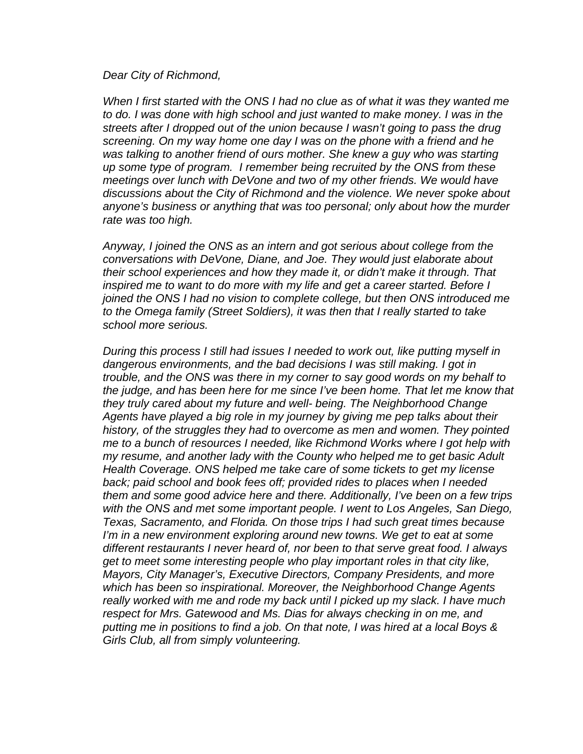#### *Dear City of Richmond,*

*When I first started with the ONS I had no clue as of what it was they wanted me to do. I was done with high school and just wanted to make money. I was in the streets after I dropped out of the union because I wasn't going to pass the drug screening. On my way home one day I was on the phone with a friend and he was talking to another friend of ours mother. She knew a guy who was starting up some type of program. I remember being recruited by the ONS from these meetings over lunch with DeVone and two of my other friends. We would have discussions about the City of Richmond and the violence. We never spoke about anyone's business or anything that was too personal; only about how the murder rate was too high.* 

*Anyway, I joined the ONS as an intern and got serious about college from the conversations with DeVone, Diane, and Joe. They would just elaborate about their school experiences and how they made it, or didn't make it through. That inspired me to want to do more with my life and get a career started. Before I joined the ONS I had no vision to complete college, but then ONS introduced me to the Omega family (Street Soldiers), it was then that I really started to take school more serious.* 

*During this process I still had issues I needed to work out, like putting myself in dangerous environments, and the bad decisions I was still making. I got in trouble, and the ONS was there in my corner to say good words on my behalf to the judge, and has been here for me since I've been home. That let me know that they truly cared about my future and well- being. The Neighborhood Change Agents have played a big role in my journey by giving me pep talks about their history, of the struggles they had to overcome as men and women. They pointed me to a bunch of resources I needed, like Richmond Works where I got help with my resume, and another lady with the County who helped me to get basic Adult Health Coverage. ONS helped me take care of some tickets to get my license back; paid school and book fees off; provided rides to places when I needed them and some good advice here and there. Additionally, I've been on a few trips with the ONS and met some important people. I went to Los Angeles, San Diego, Texas, Sacramento, and Florida. On those trips I had such great times because I'm in a new environment exploring around new towns. We get to eat at some different restaurants I never heard of, nor been to that serve great food. I always get to meet some interesting people who play important roles in that city like, Mayors, City Manager's, Executive Directors, Company Presidents, and more which has been so inspirational. Moreover, the Neighborhood Change Agents really worked with me and rode my back until I picked up my slack. I have much respect for Mrs. Gatewood and Ms. Dias for always checking in on me, and putting me in positions to find a job. On that note, I was hired at a local Boys & Girls Club, all from simply volunteering.*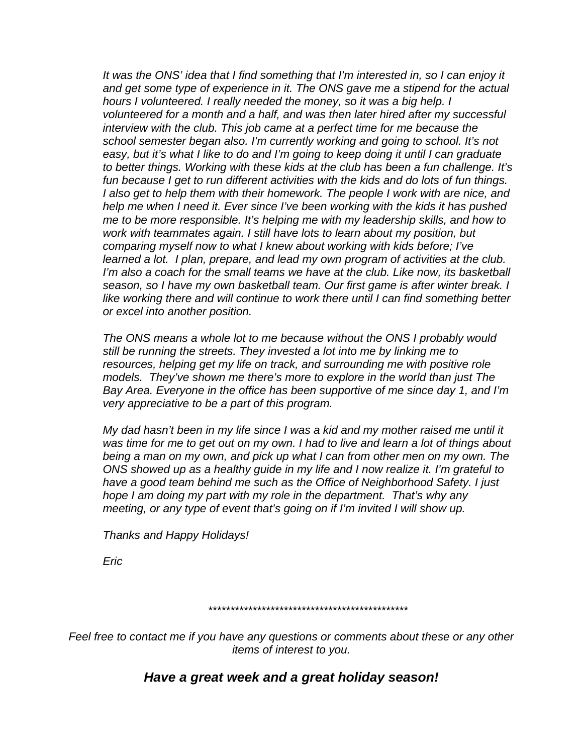*It was the ONS' idea that I find something that I'm interested in, so I can enjoy it and get some type of experience in it. The ONS gave me a stipend for the actual hours I volunteered. I really needed the money, so it was a big help. I volunteered for a month and a half, and was then later hired after my successful interview with the club. This job came at a perfect time for me because the school semester began also. I'm currently working and going to school. It's not easy, but it's what I like to do and I'm going to keep doing it until I can graduate to better things. Working with these kids at the club has been a fun challenge. It's fun because I get to run different activities with the kids and do lots of fun things. I* also get to help them with their homework. The people I work with are nice, and *help me when I need it. Ever since I've been working with the kids it has pushed me to be more responsible. It's helping me with my leadership skills, and how to work with teammates again. I still have lots to learn about my position, but comparing myself now to what I knew about working with kids before; I've learned a lot. I plan, prepare, and lead my own program of activities at the club. I'm also a coach for the small teams we have at the club. Like now, its basketball season, so I have my own basketball team. Our first game is after winter break. I like working there and will continue to work there until I can find something better or excel into another position.* 

*The ONS means a whole lot to me because without the ONS I probably would still be running the streets. They invested a lot into me by linking me to resources, helping get my life on track, and surrounding me with positive role models. They've shown me there's more to explore in the world than just The Bay Area. Everyone in the office has been supportive of me since day 1, and I'm very appreciative to be a part of this program.* 

*My dad hasn't been in my life since I was a kid and my mother raised me until it was time for me to get out on my own. I had to live and learn a lot of things about being a man on my own, and pick up what I can from other men on my own. The ONS showed up as a healthy guide in my life and I now realize it. I'm grateful to have a good team behind me such as the Office of Neighborhood Safety. I just hope I am doing my part with my role in the department. That's why any meeting, or any type of event that's going on if I'm invited I will show up.* 

*Thanks and Happy Holidays!* 

*Eric* 

#### \*\*\*\*\*\*\*\*\*\*\*\*\*\*\*\*\*\*\*\*\*\*\*\*\*\*\*\*\*\*\*\*\*\*\*\*\*\*\*\*\*\*\*\*\*

*Feel free to contact me if you have any questions or comments about these or any other items of interest to you.* 

# *Have a great week and a great holiday season!*